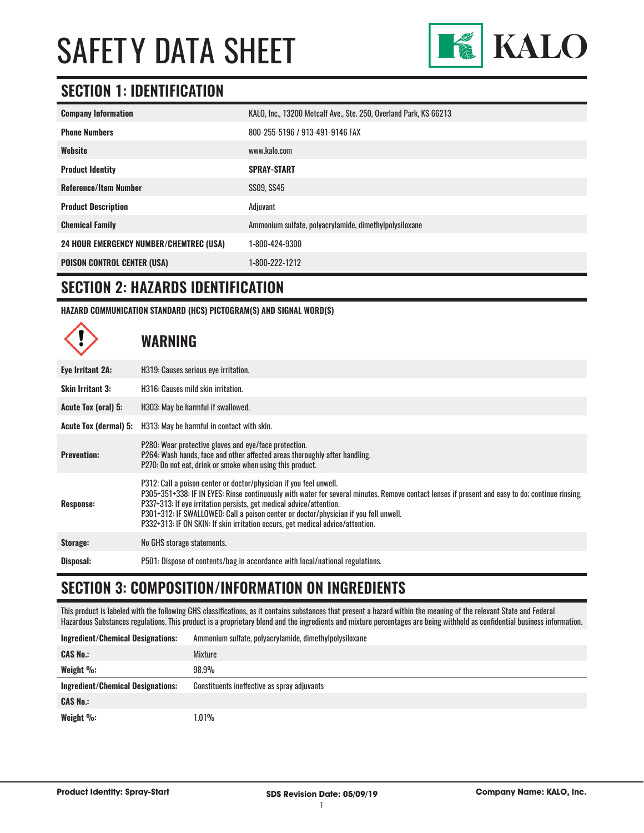

#### **SECTION 1: IDENTIFICATION**

| <b>Company Information</b>                     | KALO, Inc., 13200 Metcalf Ave., Ste. 250, Overland Park, KS 66213 |
|------------------------------------------------|-------------------------------------------------------------------|
| <b>Phone Numbers</b>                           | 800-255-5196 / 913-491-9146 FAX                                   |
| Website                                        | www.kalo.com                                                      |
| <b>Product Identity</b>                        | <b>SPRAY-START</b>                                                |
| <b>Reference/Item Number</b>                   | SS09, SS45                                                        |
| <b>Product Description</b>                     | Adjuvant                                                          |
| <b>Chemical Family</b>                         | Ammonium sulfate, polyacrylamide, dimethylpolysiloxane            |
| <b>24 HOUR EMERGENCY NUMBER/CHEMTREC (USA)</b> | 1-800-424-9300                                                    |
| <b>POISON CONTROL CENTER (USA)</b>             | 1-800-222-1212                                                    |

#### **SECTION 2: HAZARDS IDENTIFICATION**

**HAZARD COMMUNICATION STANDARD (HCS) PICTOGRAM(S) AND SIGNAL WORD(S)**

**WARNING**

| Eye Irritant 2A:             | H319: Causes serious eye irritation.                                                                                                                                                                                                                                                                                                                                                                                                                                   |
|------------------------------|------------------------------------------------------------------------------------------------------------------------------------------------------------------------------------------------------------------------------------------------------------------------------------------------------------------------------------------------------------------------------------------------------------------------------------------------------------------------|
| <b>Skin Irritant 3:</b>      | H316: Causes mild skin irritation.                                                                                                                                                                                                                                                                                                                                                                                                                                     |
| Acute Tox (oral) 5:          | H303: May be harmful if swallowed.                                                                                                                                                                                                                                                                                                                                                                                                                                     |
| <b>Acute Tox (dermal) 5:</b> | H313: May be harmful in contact with skin.                                                                                                                                                                                                                                                                                                                                                                                                                             |
| <b>Prevention:</b>           | P280: Wear protective gloves and eye/face protection.<br>P264: Wash hands, face and other affected areas thoroughly after handling.<br>P270: Do not eat, drink or smoke when using this product.                                                                                                                                                                                                                                                                       |
| <b>Response:</b>             | P312: Call a poison center or doctor/physician if you feel unwell.<br>P305+351+338: IF IN EYES: Rinse continuously with water for several minutes. Remove contact lenses if present and easy to do; continue rinsing.<br>P337+313: If eye irritation persists, get medical advice/attention.<br>P301+312: IF SWALLOWED: Call a poison center or doctor/physician if you fell unwell.<br>P332+313: IF ON SKIN: If skin irritation occurs, get medical advice/attention. |
| Storage:                     | No GHS storage statements.                                                                                                                                                                                                                                                                                                                                                                                                                                             |
| Disposal:                    | P501: Dispose of contents/bag in accordance with local/national regulations.                                                                                                                                                                                                                                                                                                                                                                                           |

#### **SECTION 3: COMPOSITION/INFORMATION ON INGREDIENTS**

This product is labeled with the following GHS classifications, as it contains substances that present a hazard within the meaning of the relevant State and Federal Hazardous Substances regulations. This product is a proprietary blend and the ingredients and mixture percentages are being withheld as confidential business information.

| <b>Ingredient/Chemical Designations:</b> | Ammonium sulfate, polyacrylamide, dimethylpolysiloxane |
|------------------------------------------|--------------------------------------------------------|
| <b>CAS No.:</b>                          | Mixture                                                |
| Weight $\%$ :                            | 98.9%                                                  |
|                                          |                                                        |
| <b>Ingredient/Chemical Designations:</b> | Constituents ineffective as spray adjuvants            |
| <b>CAS No.:</b>                          |                                                        |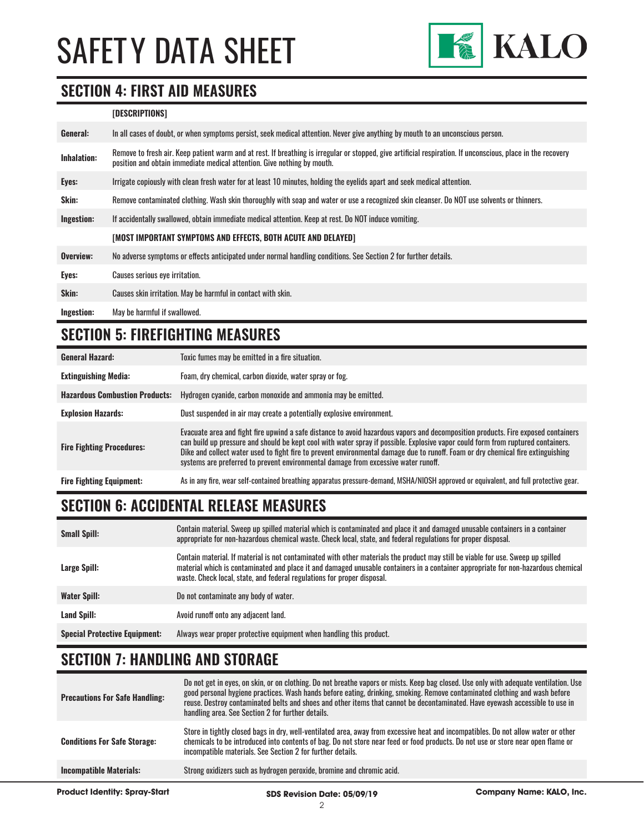

#### **SECTION 4: FIRST AID MEASURES**

#### **[DESCRIPTIONS]**

| General:           | In all cases of doubt, or when symptoms persist, seek medical attention. Never give anything by mouth to an unconscious person.                                                                                                         |
|--------------------|-----------------------------------------------------------------------------------------------------------------------------------------------------------------------------------------------------------------------------------------|
| <b>Inhalation:</b> | Remove to fresh air. Keep patient warm and at rest. If breathing is irregular or stopped, give artificial respiration. If unconscious, place in the recovery<br>position and obtain immediate medical attention. Give nothing by mouth. |
| Eyes:              | Irrigate copiously with clean fresh water for at least 10 minutes, holding the eyelids apart and seek medical attention.                                                                                                                |
| Skin:              | Remove contaminated clothing. Wash skin thoroughly with soap and water or use a recognized skin cleanser. Do NOT use solvents or thinners.                                                                                              |
| Ingestion:         | If accidentally swallowed, obtain immediate medical attention. Keep at rest, Do NOT induce vomiting.                                                                                                                                    |
|                    | [MOST IMPORTANT SYMPTOMS AND EFFECTS, BOTH ACUTE AND DELAYED]                                                                                                                                                                           |
| Overview:          | No adverse symptoms or effects anticipated under normal handling conditions. See Section 2 for further details.                                                                                                                         |
| Eyes:              | Causes serious eye irritation.                                                                                                                                                                                                          |
| Skin:              | Causes skin irritation. May be harmful in contact with skin.                                                                                                                                                                            |
| Ingestion:         | May be harmful if swallowed.                                                                                                                                                                                                            |

#### **SECTION 5: FIREFIGHTING MEASURES**

| <b>General Hazard:</b>                | Toxic fumes may be emitted in a fire situation.                                                                                                                                                                                                                                                                                                                                                                                                                                                 |
|---------------------------------------|-------------------------------------------------------------------------------------------------------------------------------------------------------------------------------------------------------------------------------------------------------------------------------------------------------------------------------------------------------------------------------------------------------------------------------------------------------------------------------------------------|
| <b>Extinguishing Media:</b>           | Foam, dry chemical, carbon dioxide, water spray or fog.                                                                                                                                                                                                                                                                                                                                                                                                                                         |
| <b>Hazardous Combustion Products:</b> | Hydrogen cyanide, carbon monoxide and ammonia may be emitted.                                                                                                                                                                                                                                                                                                                                                                                                                                   |
| <b>Explosion Hazards:</b>             | Dust suspended in air may create a potentially explosive environment.                                                                                                                                                                                                                                                                                                                                                                                                                           |
| <b>Fire Fighting Procedures:</b>      | Evacuate area and fight fire upwind a safe distance to avoid hazardous vapors and decomposition products. Fire exposed containers<br>can build up pressure and should be kept cool with water spray if possible. Explosive vapor could form from ruptured containers.<br>Dike and collect water used to fight fire to prevent environmental damage due to runoff. Foam or dry chemical fire extinguishing<br>systems are preferred to prevent environmental damage from excessive water runoff. |
| <b>Fire Fighting Equipment:</b>       | As in any fire, wear self-contained breathing apparatus pressure-demand, MSHA/NIOSH approved or equivalent, and full protective gear.                                                                                                                                                                                                                                                                                                                                                           |

### **SECTION 6: ACCIDENTAL RELEASE MEASURES**

| <b>Small Spill:</b>                  | Contain material. Sweep up spilled material which is contaminated and place it and damaged unusable containers in a container<br>appropriate for non-hazardous chemical waste. Check local, state, and federal regulations for proper disposal.                                                                                                  |
|--------------------------------------|--------------------------------------------------------------------------------------------------------------------------------------------------------------------------------------------------------------------------------------------------------------------------------------------------------------------------------------------------|
| Large Spill:                         | Contain material. If material is not contaminated with other materials the product may still be viable for use. Sweep up spilled<br>material which is contaminated and place it and damaged unusable containers in a container appropriate for non-hazardous chemical<br>waste. Check local, state, and federal regulations for proper disposal. |
| <b>Water Spill:</b>                  | Do not contaminate any body of water.                                                                                                                                                                                                                                                                                                            |
| Land Spill:                          | Avoid runoff onto any adjacent land.                                                                                                                                                                                                                                                                                                             |
| <b>Special Protective Equipment:</b> | Always wear proper protective equipment when handling this product.                                                                                                                                                                                                                                                                              |

#### **SECTION 7: HANDLING AND STORAGE**

| <b>Product Identity: Spray-Start</b>  | SDS Revision Date: 05/09/19                                                                                                                                                                                                                                                                                                                                                                                                                              | <b>Company Name: KALO, Inc.</b> |
|---------------------------------------|----------------------------------------------------------------------------------------------------------------------------------------------------------------------------------------------------------------------------------------------------------------------------------------------------------------------------------------------------------------------------------------------------------------------------------------------------------|---------------------------------|
| <b>Incompatible Materials:</b>        | Strong oxidizers such as hydrogen peroxide, bromine and chromic acid.                                                                                                                                                                                                                                                                                                                                                                                    |                                 |
| <b>Conditions For Safe Storage:</b>   | Store in tightly closed bags in dry, well-ventilated area, away from excessive heat and incompatibles. Do not allow water or other<br>chemicals to be introduced into contents of bag. Do not store near feed or food products. Do not use or store near open flame or<br>incompatible materials. See Section 2 for further details.                                                                                                                     |                                 |
| <b>Precautions For Safe Handling:</b> | Do not get in eyes, on skin, or on clothing. Do not breathe vapors or mists. Keep bag closed. Use only with adequate ventilation. Use<br>good personal hygiene practices. Wash hands before eating, drinking, smoking. Remove contaminated clothing and wash before<br>reuse. Destroy contaminated belts and shoes and other items that cannot be decontaminated. Have eyewash accessible to use in<br>handling area. See Section 2 for further details. |                                 |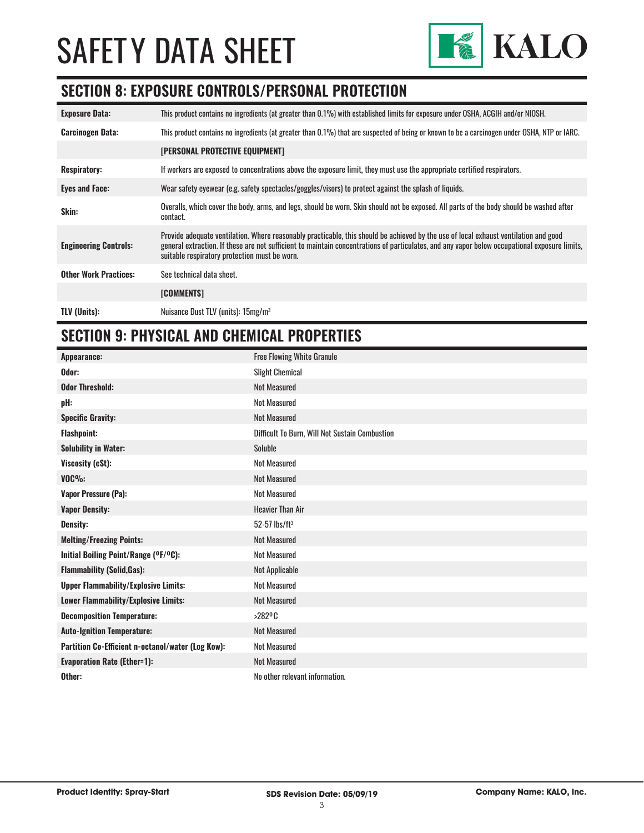

#### **SECTION 8: EXPOSURE CONTROLS/PERSONAL PROTECTION**

| <b>Exposure Data:</b>        | This product contains no ingredients (at greater than 0.1%) with established limits for exposure under OSHA, ACGIH and/or NIOSH.                                                                                                                                                                                                       |
|------------------------------|----------------------------------------------------------------------------------------------------------------------------------------------------------------------------------------------------------------------------------------------------------------------------------------------------------------------------------------|
| <b>Carcinogen Data:</b>      | This product contains no ingredients (at greater than 0.1%) that are suspected of being or known to be a carcinogen under OSHA, NTP or IARC.                                                                                                                                                                                           |
|                              | <b>[PERSONAL PROTECTIVE EQUIPMENT]</b>                                                                                                                                                                                                                                                                                                 |
| <b>Respiratory:</b>          | If workers are exposed to concentrations above the exposure limit, they must use the appropriate certified respirators.                                                                                                                                                                                                                |
| <b>Eyes and Face:</b>        | Wear safety eyewear (e.g. safety spectacles/goggles/visors) to protect against the splash of liquids.                                                                                                                                                                                                                                  |
| Skin:                        | Overalls, which cover the body, arms, and legs, should be worn. Skin should not be exposed. All parts of the body should be washed after<br>contact.                                                                                                                                                                                   |
| <b>Engineering Controls:</b> | Provide adequate ventilation. Where reasonably practicable, this should be achieved by the use of local exhaust ventilation and good<br>general extraction. If these are not sufficient to maintain concentrations of particulates, and any vapor below occupational exposure limits,<br>suitable respiratory protection must be worn. |
| <b>Other Work Practices:</b> | See technical data sheet.                                                                                                                                                                                                                                                                                                              |
|                              | [COMMENTS]                                                                                                                                                                                                                                                                                                                             |
| <b>TLV (Units):</b>          | Nuisance Dust TLV (units): 15mg/m <sup>3</sup>                                                                                                                                                                                                                                                                                         |

#### **SECTION 9: PHYSICAL AND CHEMICAL PROPERTIES**

| Appearance:                                       | <b>Free Flowing White Granule</b>              |
|---------------------------------------------------|------------------------------------------------|
| Odor:                                             | <b>Slight Chemical</b>                         |
| <b>Odor Threshold:</b>                            | <b>Not Measured</b>                            |
| pH:                                               | <b>Not Measured</b>                            |
| <b>Specific Gravity:</b>                          | <b>Not Measured</b>                            |
| <b>Flashpoint:</b>                                | Difficult To Burn, Will Not Sustain Combustion |
| <b>Solubility in Water:</b>                       | Soluble                                        |
| Viscosity (cSt):                                  | <b>Not Measured</b>                            |
| $VOC\%$ :                                         | <b>Not Measured</b>                            |
| <b>Vapor Pressure (Pa):</b>                       | <b>Not Measured</b>                            |
| <b>Vapor Density:</b>                             | <b>Heavier Than Air</b>                        |
| <b>Density:</b>                                   | $52-57$ lbs/ft <sup>3</sup>                    |
| <b>Melting/Freezing Points:</b>                   | <b>Not Measured</b>                            |
| Initial Boiling Point/Range (OF/OC):              | <b>Not Measured</b>                            |
| <b>Flammability (Solid, Gas):</b>                 | Not Applicable                                 |
| <b>Upper Flammability/Explosive Limits:</b>       | <b>Not Measured</b>                            |
| Lower Flammability/Explosive Limits:              | <b>Not Measured</b>                            |
| <b>Decomposition Temperature:</b>                 | >282°C                                         |
| <b>Auto-Ignition Temperature:</b>                 | <b>Not Measured</b>                            |
| Partition Co-Efficient n-octanol/water (Log Kow): | <b>Not Measured</b>                            |
| <b>Evaporation Rate (Ether=1):</b>                | <b>Not Measured</b>                            |
| Other:                                            | No other relevant information.                 |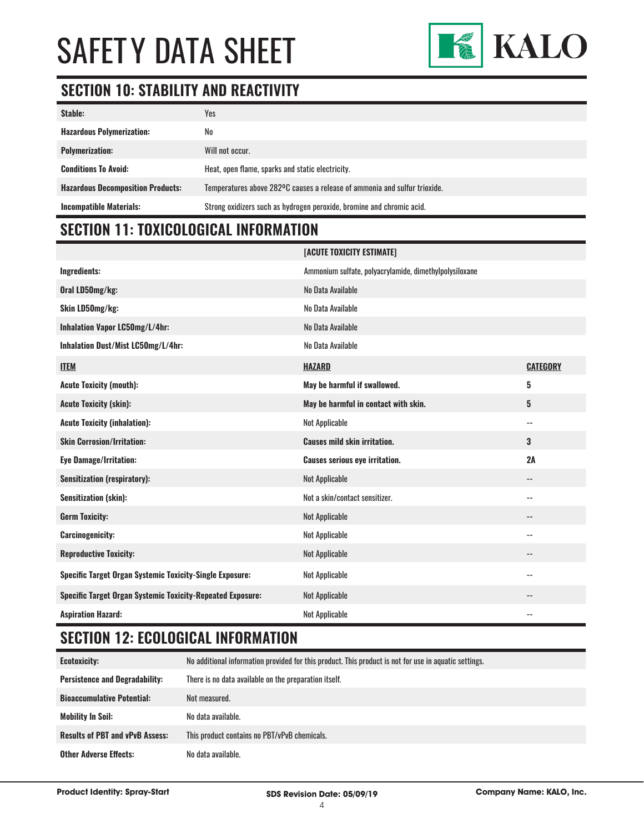

#### **SECTION 10: STABILITY AND REACTIVITY**

| Stable:                                  | Yes                                                                       |
|------------------------------------------|---------------------------------------------------------------------------|
| <b>Hazardous Polymerization:</b>         | No                                                                        |
| <b>Polymerization:</b>                   | Will not occur.                                                           |
| <b>Conditions To Avoid:</b>              | Heat, open flame, sparks and static electricity.                          |
| <b>Hazardous Decomposition Products:</b> | Temperatures above 282°C causes a release of ammonia and sulfur trioxide. |
| <b>Incompatible Materials:</b>           | Strong oxidizers such as hydrogen peroxide, bromine and chromic acid.     |

### **SECTION 11: TOXICOLOGICAL INFORMATION**

|                                                                   | [ACUTE TOXICITY ESTIMATE]                              |                          |
|-------------------------------------------------------------------|--------------------------------------------------------|--------------------------|
| Ingredients:                                                      | Ammonium sulfate, polyacrylamide, dimethylpolysiloxane |                          |
| Oral LD50mg/kg:                                                   | No Data Available                                      |                          |
| Skin LD50mg/kg:                                                   | No Data Available                                      |                          |
| Inhalation Vapor LC50mg/L/4hr:                                    | No Data Available                                      |                          |
| Inhalation Dust/Mist LC50mg/L/4hr:                                | No Data Available                                      |                          |
| <b>ITEM</b>                                                       | <b>HAZARD</b>                                          | <b>CATEGORY</b>          |
| <b>Acute Toxicity (mouth):</b>                                    | May be harmful if swallowed.                           | 5                        |
| <b>Acute Toxicity (skin):</b>                                     | May be harmful in contact with skin.                   | 5                        |
| <b>Acute Toxicity (inhalation):</b>                               | <b>Not Applicable</b>                                  | $\sim$ $-$               |
| <b>Skin Corrosion/Irritation:</b>                                 | <b>Causes mild skin irritation.</b>                    | 3                        |
| <b>Eye Damage/Irritation:</b>                                     | <b>Causes serious eye irritation.</b>                  | 2A                       |
| <b>Sensitization (respiratory):</b>                               | <b>Not Applicable</b>                                  | $\overline{\phantom{a}}$ |
| Sensitization (skin):                                             | Not a skin/contact sensitizer.                         | $\sim$ $-$               |
| <b>Germ Toxicity:</b>                                             | <b>Not Applicable</b>                                  | $ -$                     |
| <b>Carcinogenicity:</b>                                           | <b>Not Applicable</b>                                  | $\sim$ $\sim$            |
| <b>Reproductive Toxicity:</b>                                     | <b>Not Applicable</b>                                  | $\overline{\phantom{m}}$ |
| <b>Specific Target Organ Systemic Toxicity-Single Exposure:</b>   | <b>Not Applicable</b>                                  | $\sim$ $-$               |
| <b>Specific Target Organ Systemic Toxicity-Repeated Exposure:</b> | Not Applicable                                         |                          |
| <b>Aspiration Hazard:</b>                                         | <b>Not Applicable</b>                                  |                          |

#### **SECTION 12: ECOLOGICAL INFORMATION**

| <b>Ecotoxicity:</b>                    | No additional information provided for this product. This product is not for use in aquatic settings. |
|----------------------------------------|-------------------------------------------------------------------------------------------------------|
| <b>Persistence and Degradability:</b>  | There is no data available on the preparation itself.                                                 |
| <b>Bioaccumulative Potential:</b>      | Not measured.                                                                                         |
| <b>Mobility In Soil:</b>               | No data available.                                                                                    |
| <b>Results of PBT and vPvB Assess:</b> | This product contains no PBT/vPvB chemicals.                                                          |
| <b>Other Adverse Effects:</b>          | No data available.                                                                                    |